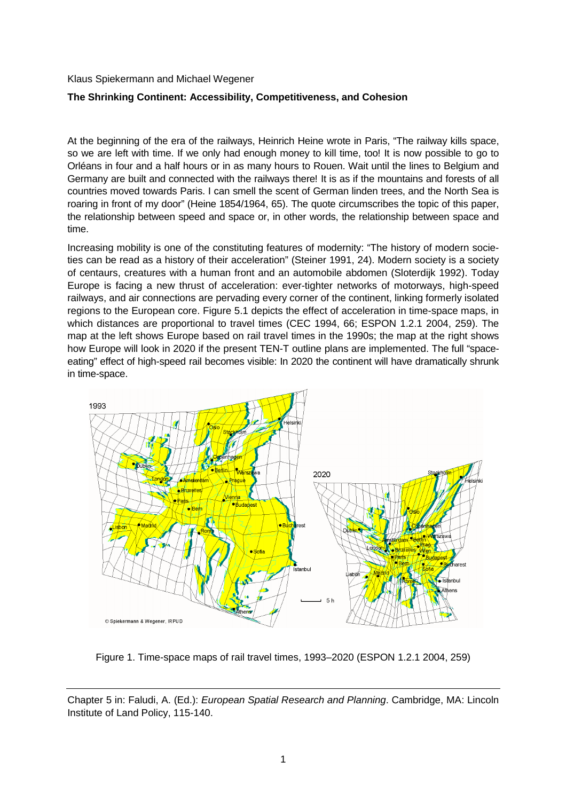Klaus Spiekermann and Michael Wegener

## **The Shrinking Continent: Accessibility, Competitiveness, and Cohesion**

At the beginning of the era of the railways, Heinrich Heine wrote in Paris, "The railway kills space, so we are left with time. If we only had enough money to kill time, too! It is now possible to go to Orléans in four and a half hours or in as many hours to Rouen. Wait until the lines to Belgium and Germany are built and connected with the railways there! It is as if the mountains and forests of all countries moved towards Paris. I can smell the scent of German linden trees, and the North Sea is roaring in front of my door" (Heine 1854/1964, 65). The quote circumscribes the topic of this paper, the relationship between speed and space or, in other words, the relationship between space and time.

Increasing mobility is one of the constituting features of modernity: "The history of modern societies can be read as a history of their acceleration" (Steiner 1991, 24). Modern society is a society of centaurs, creatures with a human front and an automobile abdomen (Sloterdijk 1992). Today Europe is facing a new thrust of acceleration: ever-tighter networks of motorways, high-speed railways, and air connections are pervading every corner of the continent, linking formerly isolated regions to the European core. Figure 5.1 depicts the effect of acceleration in time-space maps, in which distances are proportional to travel times (CEC 1994, 66; ESPON 1.2.1 2004, 259). The map at the left shows Europe based on rail travel times in the 1990s; the map at the right shows how Europe will look in 2020 if the present TEN-T outline plans are implemented. The full "spaceeating" effect of high-speed rail becomes visible: In 2020 the continent will have dramatically shrunk in time-space.



Figure 1. Time-space maps of rail travel times, 1993–2020 (ESPON 1.2.1 2004, 259)

Chapter 5 in: Faludi, A. (Ed.): European Spatial Research and Planning. Cambridge, MA: Lincoln Institute of Land Policy, 115-140.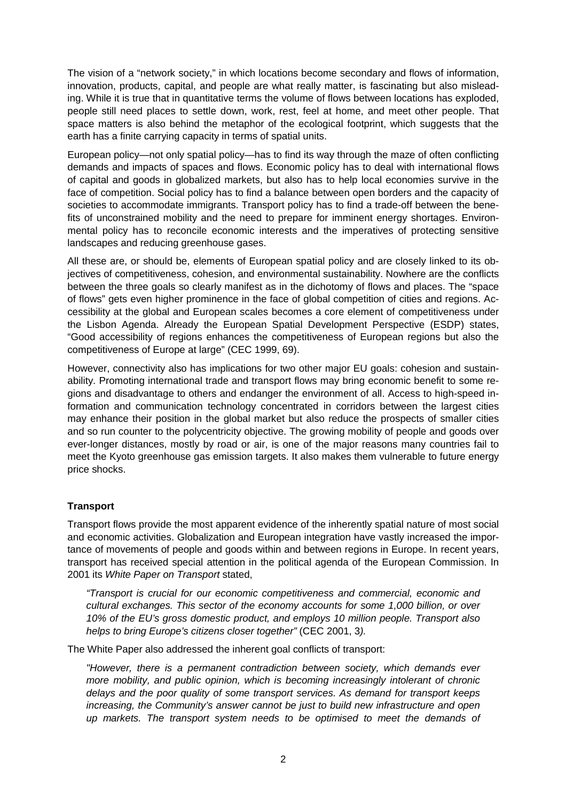The vision of a "network society," in which locations become secondary and flows of information, innovation, products, capital, and people are what really matter, is fascinating but also misleading. While it is true that in quantitative terms the volume of flows between locations has exploded, people still need places to settle down, work, rest, feel at home, and meet other people. That space matters is also behind the metaphor of the ecological footprint, which suggests that the earth has a finite carrying capacity in terms of spatial units.

European policy—not only spatial policy—has to find its way through the maze of often conflicting demands and impacts of spaces and flows. Economic policy has to deal with international flows of capital and goods in globalized markets, but also has to help local economies survive in the face of competition. Social policy has to find a balance between open borders and the capacity of societies to accommodate immigrants. Transport policy has to find a trade-off between the benefits of unconstrained mobility and the need to prepare for imminent energy shortages. Environmental policy has to reconcile economic interests and the imperatives of protecting sensitive landscapes and reducing greenhouse gases.

All these are, or should be, elements of European spatial policy and are closely linked to its objectives of competitiveness, cohesion, and environmental sustainability. Nowhere are the conflicts between the three goals so clearly manifest as in the dichotomy of flows and places. The "space of flows" gets even higher prominence in the face of global competition of cities and regions. Accessibility at the global and European scales becomes a core element of competitiveness under the Lisbon Agenda. Already the European Spatial Development Perspective (ESDP) states, "Good accessibility of regions enhances the competitiveness of European regions but also the competitiveness of Europe at large" (CEC 1999, 69).

However, connectivity also has implications for two other major EU goals: cohesion and sustainability. Promoting international trade and transport flows may bring economic benefit to some regions and disadvantage to others and endanger the environment of all. Access to high-speed information and communication technology concentrated in corridors between the largest cities may enhance their position in the global market but also reduce the prospects of smaller cities and so run counter to the polycentricity objective. The growing mobility of people and goods over ever-longer distances, mostly by road or air, is one of the major reasons many countries fail to meet the Kyoto greenhouse gas emission targets. It also makes them vulnerable to future energy price shocks.

## **Transport**

Transport flows provide the most apparent evidence of the inherently spatial nature of most social and economic activities. Globalization and European integration have vastly increased the importance of movements of people and goods within and between regions in Europe. In recent years, transport has received special attention in the political agenda of the European Commission. In 2001 its White Paper on Transport stated,

"Transport is crucial for our economic competitiveness and commercial, economic and cultural exchanges. This sector of the economy accounts for some 1,000 billion, or over 10% of the EU's gross domestic product, and employs 10 million people. Transport also helps to bring Europe's citizens closer together" (CEC 2001, 3).

The White Paper also addressed the inherent goal conflicts of transport:

"However, there is a permanent contradiction between society, which demands ever more mobility, and public opinion, which is becoming increasingly intolerant of chronic delays and the poor quality of some transport services. As demand for transport keeps increasing, the Community's answer cannot be just to build new infrastructure and open up markets. The transport system needs to be optimised to meet the demands of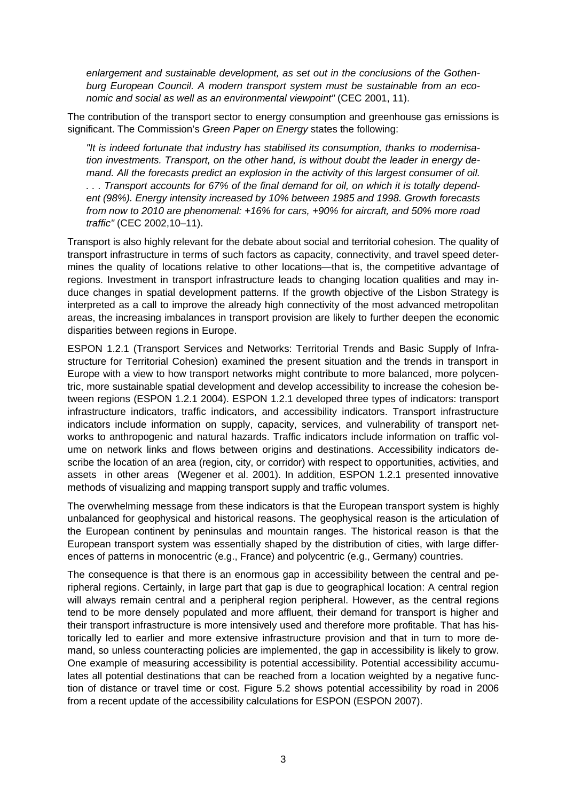enlargement and sustainable development, as set out in the conclusions of the Gothenburg European Council. A modern transport system must be sustainable from an economic and social as well as an environmental viewpoint" (CEC 2001, 11).

The contribution of the transport sector to energy consumption and greenhouse gas emissions is significant. The Commission's Green Paper on Energy states the following:

"It is indeed fortunate that industry has stabilised its consumption, thanks to modernisation investments. Transport, on the other hand, is without doubt the leader in energy demand. All the forecasts predict an explosion in the activity of this largest consumer of oil. . . . Transport accounts for 67% of the final demand for oil, on which it is totally dependent (98%). Energy intensity increased by 10% between 1985 and 1998. Growth forecasts from now to 2010 are phenomenal: +16% for cars, +90% for aircraft, and 50% more road traffic" (CEC 2002,10–11).

Transport is also highly relevant for the debate about social and territorial cohesion. The quality of transport infrastructure in terms of such factors as capacity, connectivity, and travel speed determines the quality of locations relative to other locations—that is, the competitive advantage of regions. Investment in transport infrastructure leads to changing location qualities and may induce changes in spatial development patterns. If the growth objective of the Lisbon Strategy is interpreted as a call to improve the already high connectivity of the most advanced metropolitan areas, the increasing imbalances in transport provision are likely to further deepen the economic disparities between regions in Europe.

ESPON 1.2.1 (Transport Services and Networks: Territorial Trends and Basic Supply of Infrastructure for Territorial Cohesion) examined the present situation and the trends in transport in Europe with a view to how transport networks might contribute to more balanced, more polycentric, more sustainable spatial development and develop accessibility to increase the cohesion between regions (ESPON 1.2.1 2004). ESPON 1.2.1 developed three types of indicators: transport infrastructure indicators, traffic indicators, and accessibility indicators. Transport infrastructure indicators include information on supply, capacity, services, and vulnerability of transport networks to anthropogenic and natural hazards. Traffic indicators include information on traffic volume on network links and flows between origins and destinations. Accessibility indicators describe the location of an area (region, city, or corridor) with respect to opportunities, activities, and assets in other areas (Wegener et al. 2001). In addition, ESPON 1.2.1 presented innovative methods of visualizing and mapping transport supply and traffic volumes.

The overwhelming message from these indicators is that the European transport system is highly unbalanced for geophysical and historical reasons. The geophysical reason is the articulation of the European continent by peninsulas and mountain ranges. The historical reason is that the European transport system was essentially shaped by the distribution of cities, with large differences of patterns in monocentric (e.g., France) and polycentric (e.g., Germany) countries.

The consequence is that there is an enormous gap in accessibility between the central and peripheral regions. Certainly, in large part that gap is due to geographical location: A central region will always remain central and a peripheral region peripheral. However, as the central regions tend to be more densely populated and more affluent, their demand for transport is higher and their transport infrastructure is more intensively used and therefore more profitable. That has historically led to earlier and more extensive infrastructure provision and that in turn to more demand, so unless counteracting policies are implemented, the gap in accessibility is likely to grow. One example of measuring accessibility is potential accessibility. Potential accessibility accumulates all potential destinations that can be reached from a location weighted by a negative function of distance or travel time or cost. Figure 5.2 shows potential accessibility by road in 2006 from a recent update of the accessibility calculations for ESPON (ESPON 2007).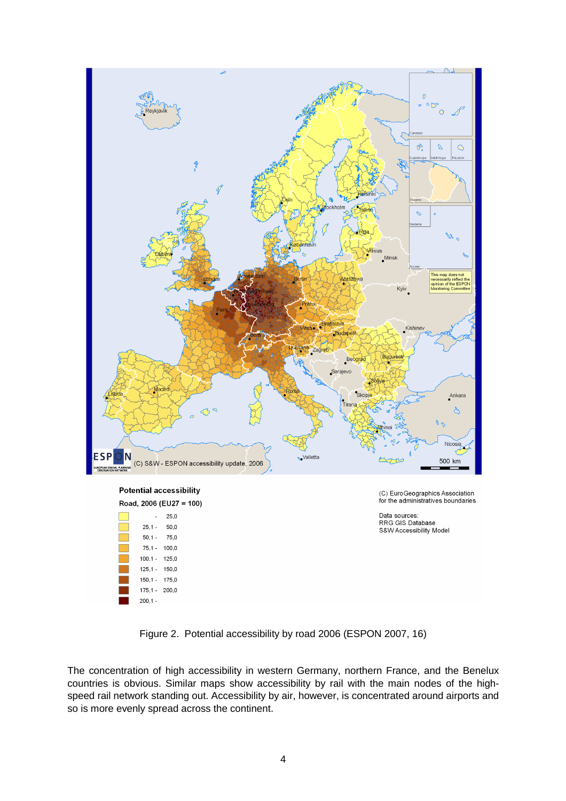

Figure 2. Potential accessibility by road 2006 (ESPON 2007, 16)

The concentration of high accessibility in western Germany, northern France, and the Benelux countries is obvious. Similar maps show accessibility by rail with the main nodes of the highspeed rail network standing out. Accessibility by air, however, is concentrated around airports and so is more evenly spread across the continent.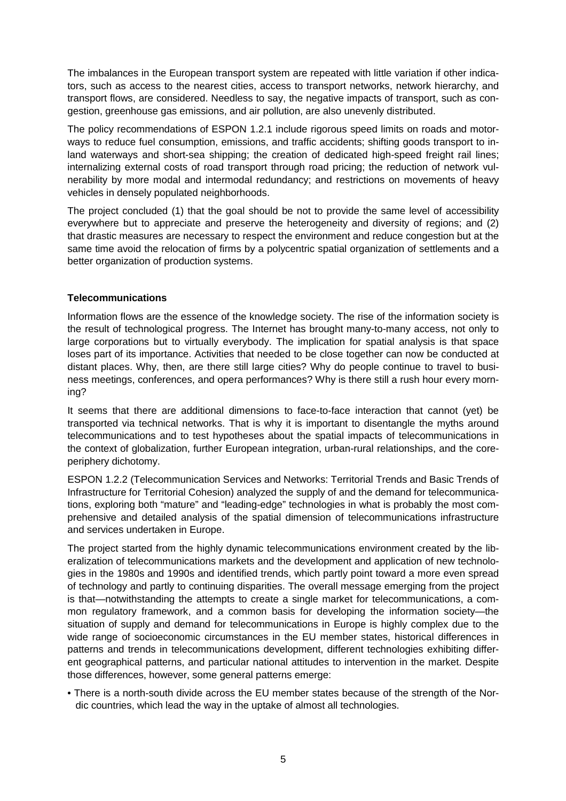The imbalances in the European transport system are repeated with little variation if other indicators, such as access to the nearest cities, access to transport networks, network hierarchy, and transport flows, are considered. Needless to say, the negative impacts of transport, such as congestion, greenhouse gas emissions, and air pollution, are also unevenly distributed.

The policy recommendations of ESPON 1.2.1 include rigorous speed limits on roads and motorways to reduce fuel consumption, emissions, and traffic accidents; shifting goods transport to inland waterways and short-sea shipping; the creation of dedicated high-speed freight rail lines; internalizing external costs of road transport through road pricing; the reduction of network vulnerability by more modal and intermodal redundancy; and restrictions on movements of heavy vehicles in densely populated neighborhoods.

The project concluded (1) that the goal should be not to provide the same level of accessibility everywhere but to appreciate and preserve the heterogeneity and diversity of regions; and (2) that drastic measures are necessary to respect the environment and reduce congestion but at the same time avoid the relocation of firms by a polycentric spatial organization of settlements and a better organization of production systems.

# **Telecommunications**

Information flows are the essence of the knowledge society. The rise of the information society is the result of technological progress. The Internet has brought many-to-many access, not only to large corporations but to virtually everybody. The implication for spatial analysis is that space loses part of its importance. Activities that needed to be close together can now be conducted at distant places. Why, then, are there still large cities? Why do people continue to travel to business meetings, conferences, and opera performances? Why is there still a rush hour every morning?

It seems that there are additional dimensions to face-to-face interaction that cannot (yet) be transported via technical networks. That is why it is important to disentangle the myths around telecommunications and to test hypotheses about the spatial impacts of telecommunications in the context of globalization, further European integration, urban-rural relationships, and the coreperiphery dichotomy.

ESPON 1.2.2 (Telecommunication Services and Networks: Territorial Trends and Basic Trends of Infrastructure for Territorial Cohesion) analyzed the supply of and the demand for telecommunications, exploring both "mature" and "leading-edge" technologies in what is probably the most comprehensive and detailed analysis of the spatial dimension of telecommunications infrastructure and services undertaken in Europe.

The project started from the highly dynamic telecommunications environment created by the liberalization of telecommunications markets and the development and application of new technologies in the 1980s and 1990s and identified trends, which partly point toward a more even spread of technology and partly to continuing disparities. The overall message emerging from the project is that—notwithstanding the attempts to create a single market for telecommunications, a common regulatory framework, and a common basis for developing the information society—the situation of supply and demand for telecommunications in Europe is highly complex due to the wide range of socioeconomic circumstances in the EU member states, historical differences in patterns and trends in telecommunications development, different technologies exhibiting different geographical patterns, and particular national attitudes to intervention in the market. Despite those differences, however, some general patterns emerge:

• There is a north-south divide across the EU member states because of the strength of the Nordic countries, which lead the way in the uptake of almost all technologies.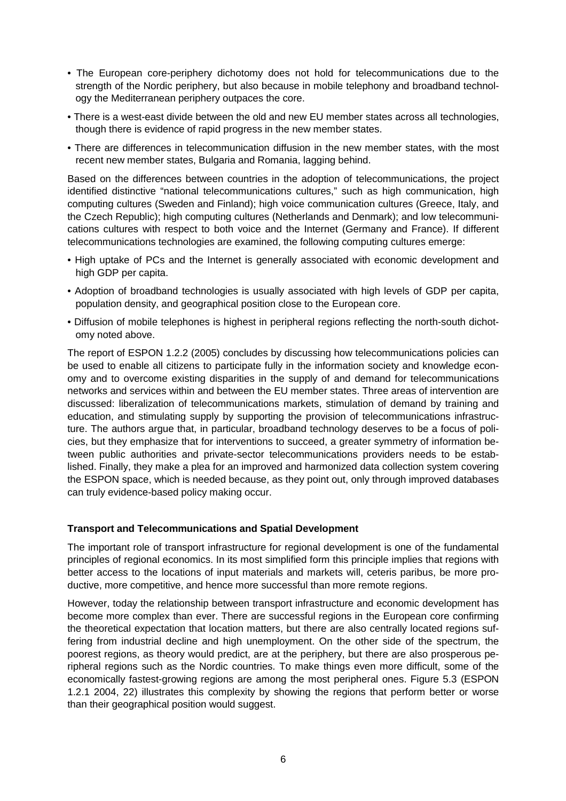- The European core-periphery dichotomy does not hold for telecommunications due to the strength of the Nordic periphery, but also because in mobile telephony and broadband technology the Mediterranean periphery outpaces the core.
- There is a west-east divide between the old and new EU member states across all technologies, though there is evidence of rapid progress in the new member states.
- There are differences in telecommunication diffusion in the new member states, with the most recent new member states, Bulgaria and Romania, lagging behind.

Based on the differences between countries in the adoption of telecommunications, the project identified distinctive "national telecommunications cultures," such as high communication, high computing cultures (Sweden and Finland); high voice communication cultures (Greece, Italy, and the Czech Republic); high computing cultures (Netherlands and Denmark); and low telecommunications cultures with respect to both voice and the Internet (Germany and France). If different telecommunications technologies are examined, the following computing cultures emerge:

- High uptake of PCs and the Internet is generally associated with economic development and high GDP per capita.
- Adoption of broadband technologies is usually associated with high levels of GDP per capita, population density, and geographical position close to the European core.
- Diffusion of mobile telephones is highest in peripheral regions reflecting the north-south dichotomy noted above.

The report of ESPON 1.2.2 (2005) concludes by discussing how telecommunications policies can be used to enable all citizens to participate fully in the information society and knowledge economy and to overcome existing disparities in the supply of and demand for telecommunications networks and services within and between the EU member states. Three areas of intervention are discussed: liberalization of telecommunications markets, stimulation of demand by training and education, and stimulating supply by supporting the provision of telecommunications infrastructure. The authors argue that, in particular, broadband technology deserves to be a focus of policies, but they emphasize that for interventions to succeed, a greater symmetry of information between public authorities and private-sector telecommunications providers needs to be established. Finally, they make a plea for an improved and harmonized data collection system covering the ESPON space, which is needed because, as they point out, only through improved databases can truly evidence-based policy making occur.

#### **Transport and Telecommunications and Spatial Development**

The important role of transport infrastructure for regional development is one of the fundamental principles of regional economics. In its most simplified form this principle implies that regions with better access to the locations of input materials and markets will, ceteris paribus, be more productive, more competitive, and hence more successful than more remote regions.

However, today the relationship between transport infrastructure and economic development has become more complex than ever. There are successful regions in the European core confirming the theoretical expectation that location matters, but there are also centrally located regions suffering from industrial decline and high unemployment. On the other side of the spectrum, the poorest regions, as theory would predict, are at the periphery, but there are also prosperous peripheral regions such as the Nordic countries. To make things even more difficult, some of the economically fastest-growing regions are among the most peripheral ones. Figure 5.3 (ESPON 1.2.1 2004, 22) illustrates this complexity by showing the regions that perform better or worse than their geographical position would suggest.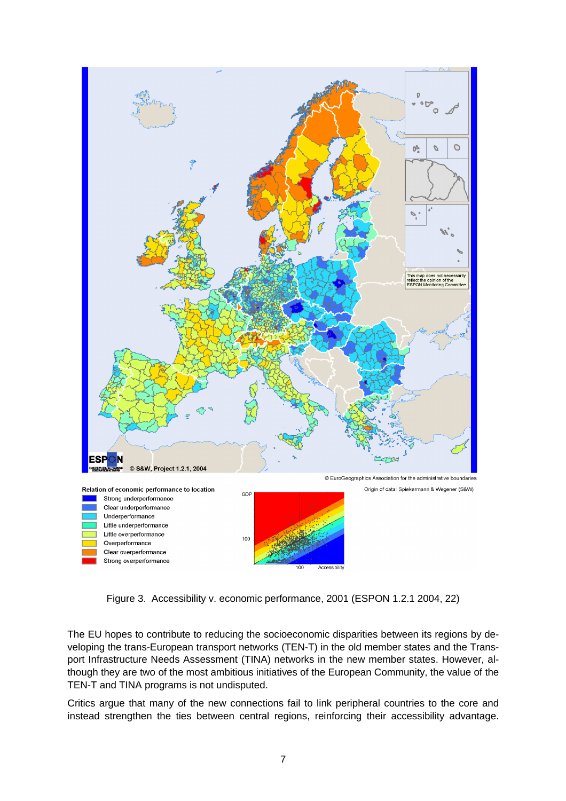

Figure 3. Accessibility v. economic performance, 2001 (ESPON 1.2.1 2004, 22)

The EU hopes to contribute to reducing the socioeconomic disparities between its regions by developing the trans-European transport networks (TEN-T) in the old member states and the Transport Infrastructure Needs Assessment (TINA) networks in the new member states. However, although they are two of the most ambitious initiatives of the European Community, the value of the TEN-T and TINA programs is not undisputed.

Critics argue that many of the new connections fail to link peripheral countries to the core and instead strengthen the ties between central regions, reinforcing their accessibility advantage.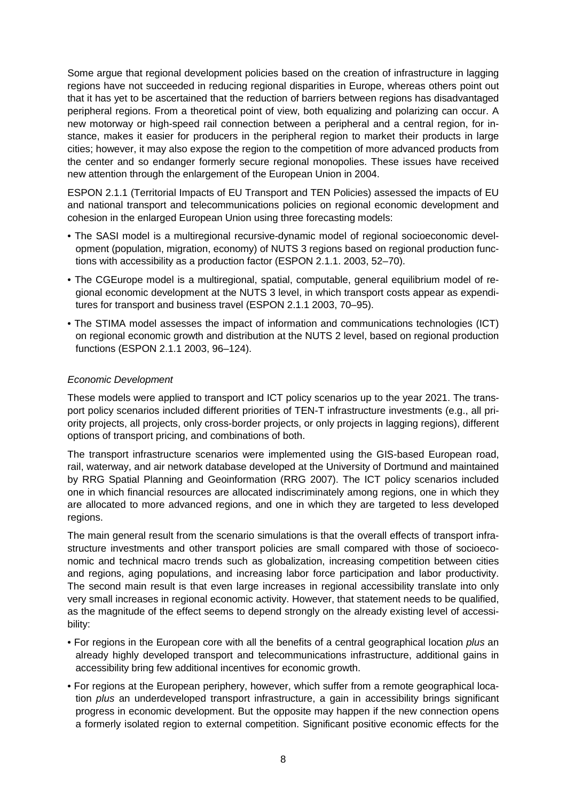Some argue that regional development policies based on the creation of infrastructure in lagging regions have not succeeded in reducing regional disparities in Europe, whereas others point out that it has yet to be ascertained that the reduction of barriers between regions has disadvantaged peripheral regions. From a theoretical point of view, both equalizing and polarizing can occur. A new motorway or high-speed rail connection between a peripheral and a central region, for instance, makes it easier for producers in the peripheral region to market their products in large cities; however, it may also expose the region to the competition of more advanced products from the center and so endanger formerly secure regional monopolies. These issues have received new attention through the enlargement of the European Union in 2004.

ESPON 2.1.1 (Territorial Impacts of EU Transport and TEN Policies) assessed the impacts of EU and national transport and telecommunications policies on regional economic development and cohesion in the enlarged European Union using three forecasting models:

- The SASI model is a multiregional recursive-dynamic model of regional socioeconomic development (population, migration, economy) of NUTS 3 regions based on regional production functions with accessibility as a production factor (ESPON 2.1.1. 2003, 52–70).
- The CGEurope model is a multiregional, spatial, computable, general equilibrium model of regional economic development at the NUTS 3 level, in which transport costs appear as expenditures for transport and business travel (ESPON 2.1.1 2003, 70–95).
- The STIMA model assesses the impact of information and communications technologies (ICT) on regional economic growth and distribution at the NUTS 2 level, based on regional production functions (ESPON 2.1.1 2003, 96–124).

### Economic Development

These models were applied to transport and ICT policy scenarios up to the year 2021. The transport policy scenarios included different priorities of TEN-T infrastructure investments (e.g., all priority projects, all projects, only cross-border projects, or only projects in lagging regions), different options of transport pricing, and combinations of both.

The transport infrastructure scenarios were implemented using the GIS-based European road, rail, waterway, and air network database developed at the University of Dortmund and maintained by RRG Spatial Planning and Geoinformation (RRG 2007). The ICT policy scenarios included one in which financial resources are allocated indiscriminately among regions, one in which they are allocated to more advanced regions, and one in which they are targeted to less developed regions.

The main general result from the scenario simulations is that the overall effects of transport infrastructure investments and other transport policies are small compared with those of socioeconomic and technical macro trends such as globalization, increasing competition between cities and regions, aging populations, and increasing labor force participation and labor productivity. The second main result is that even large increases in regional accessibility translate into only very small increases in regional economic activity. However, that statement needs to be qualified, as the magnitude of the effect seems to depend strongly on the already existing level of accessibility:

- For regions in the European core with all the benefits of a central geographical location plus an already highly developed transport and telecommunications infrastructure, additional gains in accessibility bring few additional incentives for economic growth.
- For regions at the European periphery, however, which suffer from a remote geographical location plus an underdeveloped transport infrastructure, a gain in accessibility brings significant progress in economic development. But the opposite may happen if the new connection opens a formerly isolated region to external competition. Significant positive economic effects for the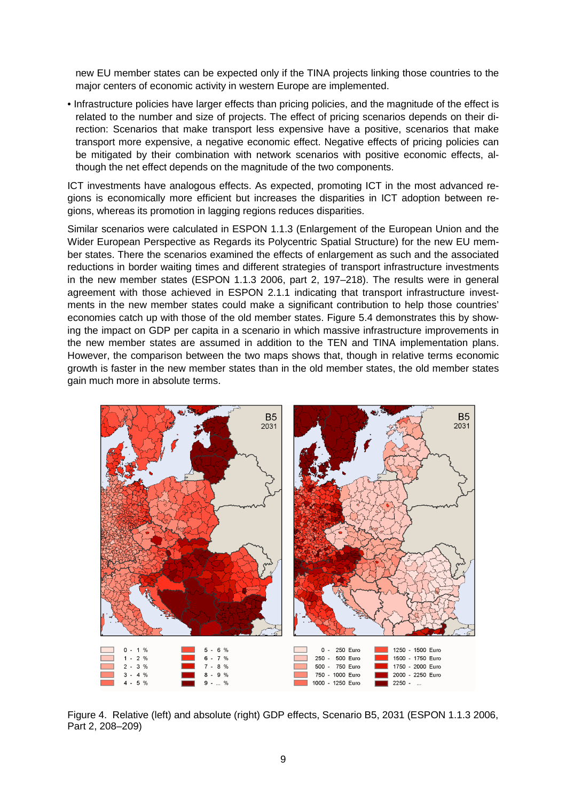new EU member states can be expected only if the TINA projects linking those countries to the major centers of economic activity in western Europe are implemented.

• Infrastructure policies have larger effects than pricing policies, and the magnitude of the effect is related to the number and size of projects. The effect of pricing scenarios depends on their direction: Scenarios that make transport less expensive have a positive, scenarios that make transport more expensive, a negative economic effect. Negative effects of pricing policies can be mitigated by their combination with network scenarios with positive economic effects, although the net effect depends on the magnitude of the two components.

ICT investments have analogous effects. As expected, promoting ICT in the most advanced regions is economically more efficient but increases the disparities in ICT adoption between regions, whereas its promotion in lagging regions reduces disparities.

Similar scenarios were calculated in ESPON 1.1.3 (Enlargement of the European Union and the Wider European Perspective as Regards its Polycentric Spatial Structure) for the new EU member states. There the scenarios examined the effects of enlargement as such and the associated reductions in border waiting times and different strategies of transport infrastructure investments in the new member states (ESPON 1.1.3 2006, part 2, 197–218). The results were in general agreement with those achieved in ESPON 2.1.1 indicating that transport infrastructure investments in the new member states could make a significant contribution to help those countries' economies catch up with those of the old member states. Figure 5.4 demonstrates this by showing the impact on GDP per capita in a scenario in which massive infrastructure improvements in the new member states are assumed in addition to the TEN and TINA implementation plans. However, the comparison between the two maps shows that, though in relative terms economic growth is faster in the new member states than in the old member states, the old member states gain much more in absolute terms.



Figure 4. Relative (left) and absolute (right) GDP effects, Scenario B5, 2031 (ESPON 1.1.3 2006, Part 2, 208–209)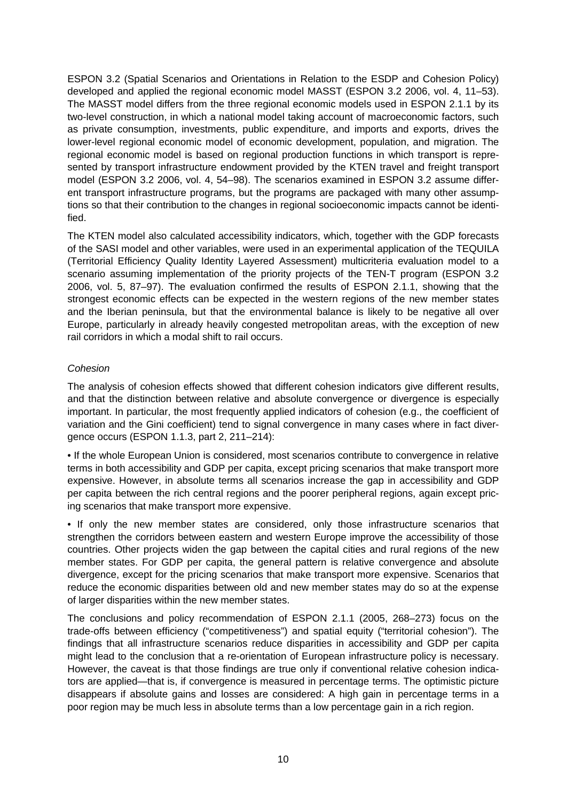ESPON 3.2 (Spatial Scenarios and Orientations in Relation to the ESDP and Cohesion Policy) developed and applied the regional economic model MASST (ESPON 3.2 2006, vol. 4, 11–53). The MASST model differs from the three regional economic models used in ESPON 2.1.1 by its two-level construction, in which a national model taking account of macroeconomic factors, such as private consumption, investments, public expenditure, and imports and exports, drives the lower-level regional economic model of economic development, population, and migration. The regional economic model is based on regional production functions in which transport is represented by transport infrastructure endowment provided by the KTEN travel and freight transport model (ESPON 3.2 2006, vol. 4, 54–98). The scenarios examined in ESPON 3.2 assume different transport infrastructure programs, but the programs are packaged with many other assumptions so that their contribution to the changes in regional socioeconomic impacts cannot be identified.

The KTEN model also calculated accessibility indicators, which, together with the GDP forecasts of the SASI model and other variables, were used in an experimental application of the TEQUILA (Territorial Efficiency Quality Identity Layered Assessment) multicriteria evaluation model to a scenario assuming implementation of the priority projects of the TEN-T program (ESPON 3.2 2006, vol. 5, 87–97). The evaluation confirmed the results of ESPON 2.1.1, showing that the strongest economic effects can be expected in the western regions of the new member states and the Iberian peninsula, but that the environmental balance is likely to be negative all over Europe, particularly in already heavily congested metropolitan areas, with the exception of new rail corridors in which a modal shift to rail occurs.

# Cohesion

The analysis of cohesion effects showed that different cohesion indicators give different results, and that the distinction between relative and absolute convergence or divergence is especially important. In particular, the most frequently applied indicators of cohesion (e.g., the coefficient of variation and the Gini coefficient) tend to signal convergence in many cases where in fact divergence occurs (ESPON 1.1.3, part 2, 211–214):

• If the whole European Union is considered, most scenarios contribute to convergence in relative terms in both accessibility and GDP per capita, except pricing scenarios that make transport more expensive. However, in absolute terms all scenarios increase the gap in accessibility and GDP per capita between the rich central regions and the poorer peripheral regions, again except pricing scenarios that make transport more expensive.

• If only the new member states are considered, only those infrastructure scenarios that strengthen the corridors between eastern and western Europe improve the accessibility of those countries. Other projects widen the gap between the capital cities and rural regions of the new member states. For GDP per capita, the general pattern is relative convergence and absolute divergence, except for the pricing scenarios that make transport more expensive. Scenarios that reduce the economic disparities between old and new member states may do so at the expense of larger disparities within the new member states.

The conclusions and policy recommendation of ESPON 2.1.1 (2005, 268–273) focus on the trade-offs between efficiency ("competitiveness") and spatial equity ("territorial cohesion"). The findings that all infrastructure scenarios reduce disparities in accessibility and GDP per capita might lead to the conclusion that a re-orientation of European infrastructure policy is necessary. However, the caveat is that those findings are true only if conventional relative cohesion indicators are applied—that is, if convergence is measured in percentage terms. The optimistic picture disappears if absolute gains and losses are considered: A high gain in percentage terms in a poor region may be much less in absolute terms than a low percentage gain in a rich region.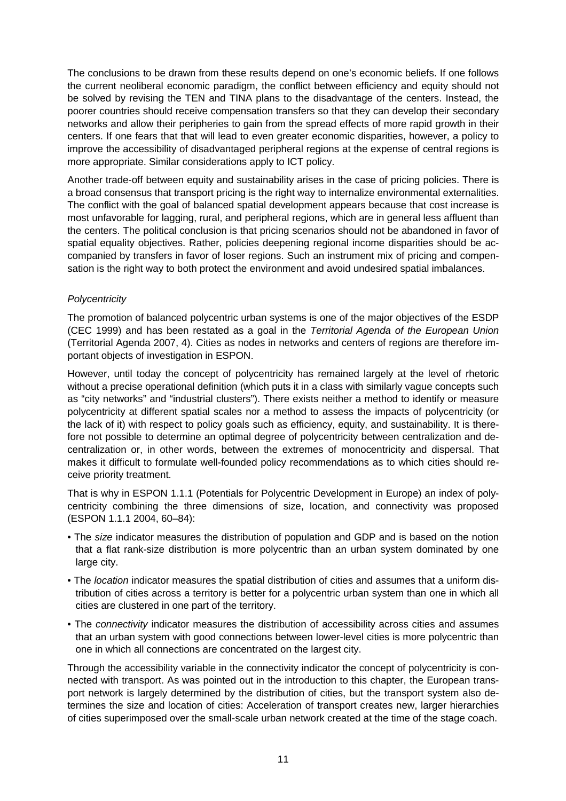The conclusions to be drawn from these results depend on one's economic beliefs. If one follows the current neoliberal economic paradigm, the conflict between efficiency and equity should not be solved by revising the TEN and TINA plans to the disadvantage of the centers. Instead, the poorer countries should receive compensation transfers so that they can develop their secondary networks and allow their peripheries to gain from the spread effects of more rapid growth in their centers. If one fears that that will lead to even greater economic disparities, however, a policy to improve the accessibility of disadvantaged peripheral regions at the expense of central regions is more appropriate. Similar considerations apply to ICT policy.

Another trade-off between equity and sustainability arises in the case of pricing policies. There is a broad consensus that transport pricing is the right way to internalize environmental externalities. The conflict with the goal of balanced spatial development appears because that cost increase is most unfavorable for lagging, rural, and peripheral regions, which are in general less affluent than the centers. The political conclusion is that pricing scenarios should not be abandoned in favor of spatial equality objectives. Rather, policies deepening regional income disparities should be accompanied by transfers in favor of loser regions. Such an instrument mix of pricing and compensation is the right way to both protect the environment and avoid undesired spatial imbalances.

### **Polycentricity**

The promotion of balanced polycentric urban systems is one of the major objectives of the ESDP (CEC 1999) and has been restated as a goal in the Territorial Agenda of the European Union (Territorial Agenda 2007, 4). Cities as nodes in networks and centers of regions are therefore important objects of investigation in ESPON.

However, until today the concept of polycentricity has remained largely at the level of rhetoric without a precise operational definition (which puts it in a class with similarly vague concepts such as "city networks" and "industrial clusters"). There exists neither a method to identify or measure polycentricity at different spatial scales nor a method to assess the impacts of polycentricity (or the lack of it) with respect to policy goals such as efficiency, equity, and sustainability. It is therefore not possible to determine an optimal degree of polycentricity between centralization and decentralization or, in other words, between the extremes of monocentricity and dispersal. That makes it difficult to formulate well-founded policy recommendations as to which cities should receive priority treatment.

That is why in ESPON 1.1.1 (Potentials for Polycentric Development in Europe) an index of polycentricity combining the three dimensions of size, location, and connectivity was proposed (ESPON 1.1.1 2004, 60–84):

- The size indicator measures the distribution of population and GDP and is based on the notion that a flat rank-size distribution is more polycentric than an urban system dominated by one large city.
- The *location* indicator measures the spatial distribution of cities and assumes that a uniform distribution of cities across a territory is better for a polycentric urban system than one in which all cities are clustered in one part of the territory.
- The *connectivity* indicator measures the distribution of accessibility across cities and assumes that an urban system with good connections between lower-level cities is more polycentric than one in which all connections are concentrated on the largest city.

Through the accessibility variable in the connectivity indicator the concept of polycentricity is connected with transport. As was pointed out in the introduction to this chapter, the European transport network is largely determined by the distribution of cities, but the transport system also determines the size and location of cities: Acceleration of transport creates new, larger hierarchies of cities superimposed over the small-scale urban network created at the time of the stage coach.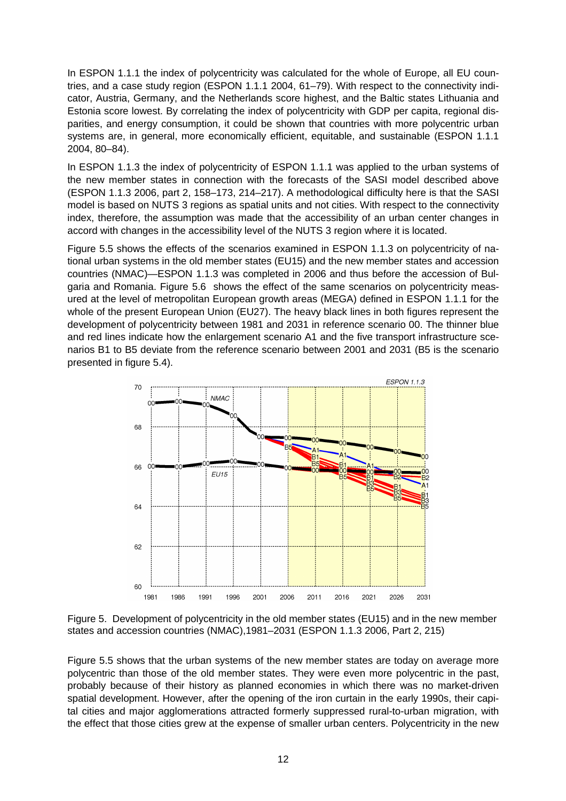In ESPON 1.1.1 the index of polycentricity was calculated for the whole of Europe, all EU countries, and a case study region (ESPON 1.1.1 2004, 61–79). With respect to the connectivity indicator, Austria, Germany, and the Netherlands score highest, and the Baltic states Lithuania and Estonia score lowest. By correlating the index of polycentricity with GDP per capita, regional disparities, and energy consumption, it could be shown that countries with more polycentric urban systems are, in general, more economically efficient, equitable, and sustainable (ESPON 1.1.1 2004, 80–84).

In ESPON 1.1.3 the index of polycentricity of ESPON 1.1.1 was applied to the urban systems of the new member states in connection with the forecasts of the SASI model described above (ESPON 1.1.3 2006, part 2, 158–173, 214–217). A methodological difficulty here is that the SASI model is based on NUTS 3 regions as spatial units and not cities. With respect to the connectivity index, therefore, the assumption was made that the accessibility of an urban center changes in accord with changes in the accessibility level of the NUTS 3 region where it is located.

Figure 5.5 shows the effects of the scenarios examined in ESPON 1.1.3 on polycentricity of national urban systems in the old member states (EU15) and the new member states and accession countries (NMAC)—ESPON 1.1.3 was completed in 2006 and thus before the accession of Bulgaria and Romania. Figure 5.6 shows the effect of the same scenarios on polycentricity measured at the level of metropolitan European growth areas (MEGA) defined in ESPON 1.1.1 for the whole of the present European Union (EU27). The heavy black lines in both figures represent the development of polycentricity between 1981 and 2031 in reference scenario 00. The thinner blue and red lines indicate how the enlargement scenario A1 and the five transport infrastructure scenarios B1 to B5 deviate from the reference scenario between 2001 and 2031 (B5 is the scenario presented in figure 5.4).



Figure 5. Development of polycentricity in the old member states (EU15) and in the new member states and accession countries (NMAC),1981–2031 (ESPON 1.1.3 2006, Part 2, 215)

Figure 5.5 shows that the urban systems of the new member states are today on average more polycentric than those of the old member states. They were even more polycentric in the past, probably because of their history as planned economies in which there was no market-driven spatial development. However, after the opening of the iron curtain in the early 1990s, their capital cities and major agglomerations attracted formerly suppressed rural-to-urban migration, with the effect that those cities grew at the expense of smaller urban centers. Polycentricity in the new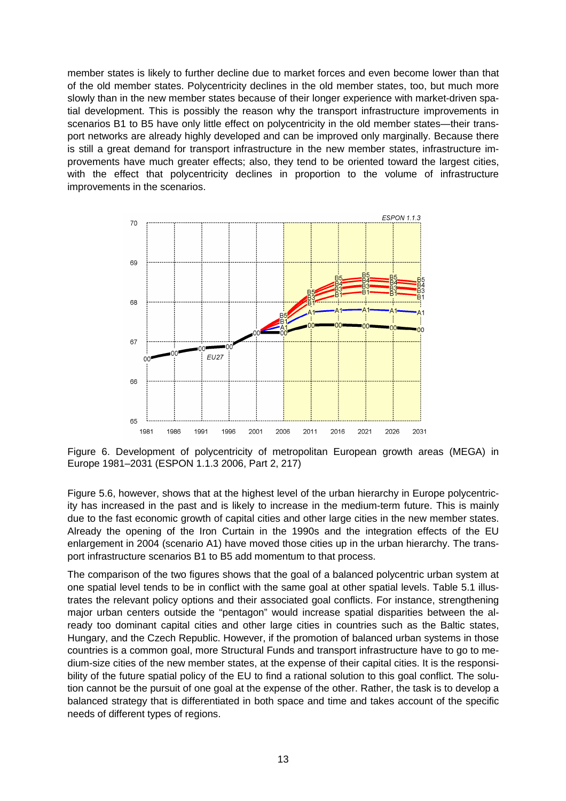member states is likely to further decline due to market forces and even become lower than that of the old member states. Polycentricity declines in the old member states, too, but much more slowly than in the new member states because of their longer experience with market-driven spatial development. This is possibly the reason why the transport infrastructure improvements in scenarios B1 to B5 have only little effect on polycentricity in the old member states—their transport networks are already highly developed and can be improved only marginally. Because there is still a great demand for transport infrastructure in the new member states, infrastructure improvements have much greater effects; also, they tend to be oriented toward the largest cities, with the effect that polycentricity declines in proportion to the volume of infrastructure improvements in the scenarios.



Figure 6. Development of polycentricity of metropolitan European growth areas (MEGA) in Europe 1981–2031 (ESPON 1.1.3 2006, Part 2, 217)

Figure 5.6, however, shows that at the highest level of the urban hierarchy in Europe polycentricity has increased in the past and is likely to increase in the medium-term future. This is mainly due to the fast economic growth of capital cities and other large cities in the new member states. Already the opening of the Iron Curtain in the 1990s and the integration effects of the EU enlargement in 2004 (scenario A1) have moved those cities up in the urban hierarchy. The transport infrastructure scenarios B1 to B5 add momentum to that process.

The comparison of the two figures shows that the goal of a balanced polycentric urban system at one spatial level tends to be in conflict with the same goal at other spatial levels. Table 5.1 illustrates the relevant policy options and their associated goal conflicts. For instance, strengthening major urban centers outside the "pentagon" would increase spatial disparities between the already too dominant capital cities and other large cities in countries such as the Baltic states, Hungary, and the Czech Republic. However, if the promotion of balanced urban systems in those countries is a common goal, more Structural Funds and transport infrastructure have to go to medium-size cities of the new member states, at the expense of their capital cities. It is the responsibility of the future spatial policy of the EU to find a rational solution to this goal conflict. The solution cannot be the pursuit of one goal at the expense of the other. Rather, the task is to develop a balanced strategy that is differentiated in both space and time and takes account of the specific needs of different types of regions.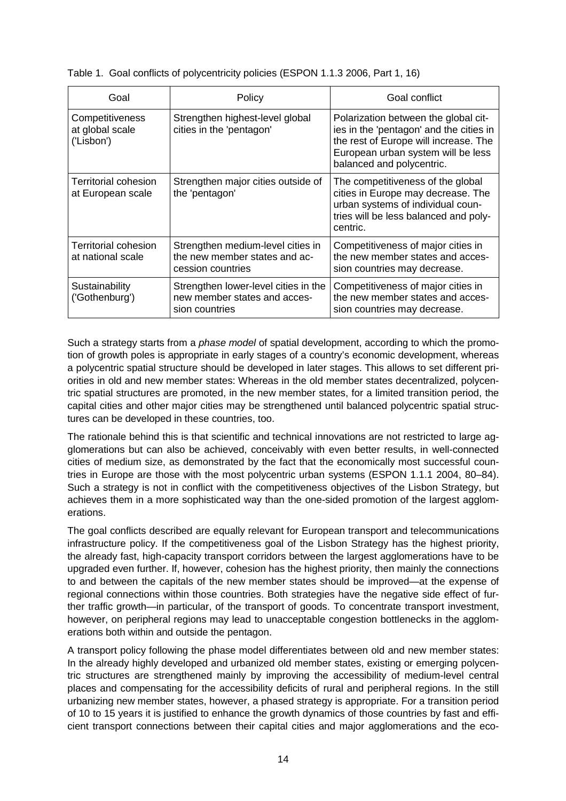| Table 1. Goal conflicts of polycentricity policies (ESPON 1.1.3 2006, Part 1, 16) |  |  |
|-----------------------------------------------------------------------------------|--|--|
|                                                                                   |  |  |

| Goal                                             | Policy                                                                                  | Goal conflict                                                                                                                                                                               |
|--------------------------------------------------|-----------------------------------------------------------------------------------------|---------------------------------------------------------------------------------------------------------------------------------------------------------------------------------------------|
| Competitiveness<br>at global scale<br>('Lisbon') | Strengthen highest-level global<br>cities in the 'pentagon'                             | Polarization between the global cit-<br>ies in the 'pentagon' and the cities in<br>the rest of Europe will increase. The<br>European urban system will be less<br>balanced and polycentric. |
| Territorial cohesion<br>at European scale        | Strengthen major cities outside of<br>the 'pentagon'                                    | The competitiveness of the global<br>cities in Europe may decrease. The<br>urban systems of individual coun-<br>tries will be less balanced and poly-<br>centric.                           |
| Territorial cohesion<br>at national scale        | Strengthen medium-level cities in<br>the new member states and ac-<br>cession countries | Competitiveness of major cities in<br>the new member states and acces-<br>sion countries may decrease.                                                                                      |
| Sustainability<br>('Gothenburg')                 | Strengthen lower-level cities in the<br>new member states and acces-<br>sion countries  | Competitiveness of major cities in<br>the new member states and acces-<br>sion countries may decrease.                                                                                      |

Such a strategy starts from a phase model of spatial development, according to which the promotion of growth poles is appropriate in early stages of a country's economic development, whereas a polycentric spatial structure should be developed in later stages. This allows to set different priorities in old and new member states: Whereas in the old member states decentralized, polycentric spatial structures are promoted, in the new member states, for a limited transition period, the capital cities and other major cities may be strengthened until balanced polycentric spatial structures can be developed in these countries, too.

The rationale behind this is that scientific and technical innovations are not restricted to large agglomerations but can also be achieved, conceivably with even better results, in well-connected cities of medium size, as demonstrated by the fact that the economically most successful countries in Europe are those with the most polycentric urban systems (ESPON 1.1.1 2004, 80–84). Such a strategy is not in conflict with the competitiveness objectives of the Lisbon Strategy, but achieves them in a more sophisticated way than the one-sided promotion of the largest agglomerations.

The goal conflicts described are equally relevant for European transport and telecommunications infrastructure policy. If the competitiveness goal of the Lisbon Strategy has the highest priority, the already fast, high-capacity transport corridors between the largest agglomerations have to be upgraded even further. If, however, cohesion has the highest priority, then mainly the connections to and between the capitals of the new member states should be improved—at the expense of regional connections within those countries. Both strategies have the negative side effect of further traffic growth—in particular, of the transport of goods. To concentrate transport investment, however, on peripheral regions may lead to unacceptable congestion bottlenecks in the agglomerations both within and outside the pentagon.

A transport policy following the phase model differentiates between old and new member states: In the already highly developed and urbanized old member states, existing or emerging polycentric structures are strengthened mainly by improving the accessibility of medium-level central places and compensating for the accessibility deficits of rural and peripheral regions. In the still urbanizing new member states, however, a phased strategy is appropriate. For a transition period of 10 to 15 years it is justified to enhance the growth dynamics of those countries by fast and efficient transport connections between their capital cities and major agglomerations and the eco-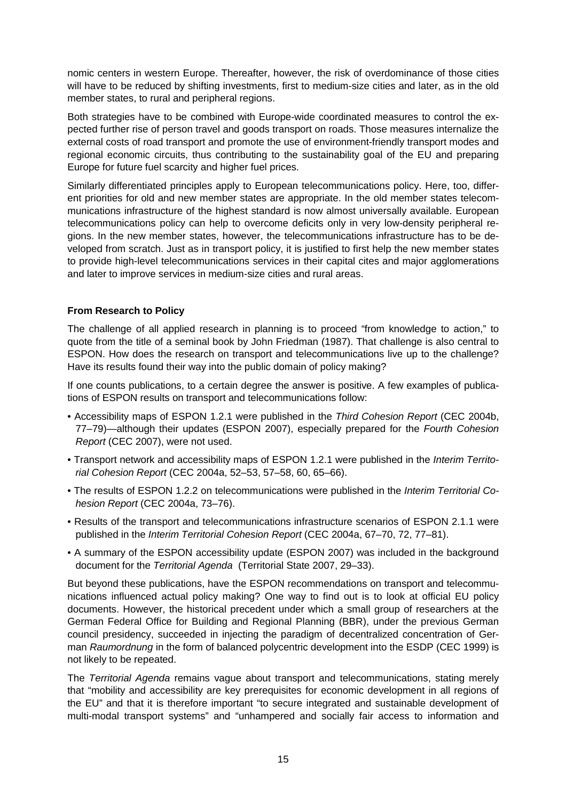nomic centers in western Europe. Thereafter, however, the risk of overdominance of those cities will have to be reduced by shifting investments, first to medium-size cities and later, as in the old member states, to rural and peripheral regions.

Both strategies have to be combined with Europe-wide coordinated measures to control the expected further rise of person travel and goods transport on roads. Those measures internalize the external costs of road transport and promote the use of environment-friendly transport modes and regional economic circuits, thus contributing to the sustainability goal of the EU and preparing Europe for future fuel scarcity and higher fuel prices.

Similarly differentiated principles apply to European telecommunications policy. Here, too, different priorities for old and new member states are appropriate. In the old member states telecommunications infrastructure of the highest standard is now almost universally available. European telecommunications policy can help to overcome deficits only in very low-density peripheral regions. In the new member states, however, the telecommunications infrastructure has to be developed from scratch. Just as in transport policy, it is justified to first help the new member states to provide high-level telecommunications services in their capital cites and major agglomerations and later to improve services in medium-size cities and rural areas.

## **From Research to Policy**

The challenge of all applied research in planning is to proceed "from knowledge to action," to quote from the title of a seminal book by John Friedman (1987). That challenge is also central to ESPON. How does the research on transport and telecommunications live up to the challenge? Have its results found their way into the public domain of policy making?

If one counts publications, to a certain degree the answer is positive. A few examples of publications of ESPON results on transport and telecommunications follow:

- Accessibility maps of ESPON 1.2.1 were published in the Third Cohesion Report (CEC 2004b, 77–79)—although their updates (ESPON 2007), especially prepared for the Fourth Cohesion Report (CEC 2007), were not used.
- Transport network and accessibility maps of ESPON 1.2.1 were published in the Interim Territorial Cohesion Report (CEC 2004a, 52–53, 57–58, 60, 65–66).
- The results of ESPON 1.2.2 on telecommunications were published in the Interim Territorial Cohesion Report (CEC 2004a, 73–76).
- Results of the transport and telecommunications infrastructure scenarios of ESPON 2.1.1 were published in the Interim Territorial Cohesion Report (CEC 2004a, 67–70, 72, 77–81).
- A summary of the ESPON accessibility update (ESPON 2007) was included in the background document for the Territorial Agenda (Territorial State 2007, 29–33).

But beyond these publications, have the ESPON recommendations on transport and telecommunications influenced actual policy making? One way to find out is to look at official EU policy documents. However, the historical precedent under which a small group of researchers at the German Federal Office for Building and Regional Planning (BBR), under the previous German council presidency, succeeded in injecting the paradigm of decentralized concentration of German Raumordnung in the form of balanced polycentric development into the ESDP (CEC 1999) is not likely to be repeated.

The Territorial Agenda remains vague about transport and telecommunications, stating merely that "mobility and accessibility are key prerequisites for economic development in all regions of the EU" and that it is therefore important "to secure integrated and sustainable development of multi-modal transport systems" and "unhampered and socially fair access to information and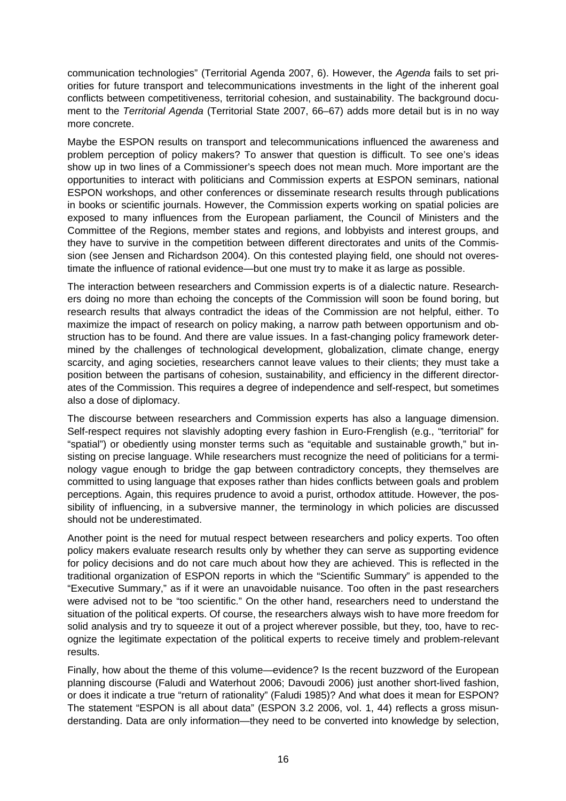communication technologies" (Territorial Agenda 2007, 6). However, the Agenda fails to set priorities for future transport and telecommunications investments in the light of the inherent goal conflicts between competitiveness, territorial cohesion, and sustainability. The background document to the Territorial Agenda (Territorial State 2007, 66–67) adds more detail but is in no way more concrete.

Maybe the ESPON results on transport and telecommunications influenced the awareness and problem perception of policy makers? To answer that question is difficult. To see one's ideas show up in two lines of a Commissioner's speech does not mean much. More important are the opportunities to interact with politicians and Commission experts at ESPON seminars, national ESPON workshops, and other conferences or disseminate research results through publications in books or scientific journals. However, the Commission experts working on spatial policies are exposed to many influences from the European parliament, the Council of Ministers and the Committee of the Regions, member states and regions, and lobbyists and interest groups, and they have to survive in the competition between different directorates and units of the Commission (see Jensen and Richardson 2004). On this contested playing field, one should not overestimate the influence of rational evidence—but one must try to make it as large as possible.

The interaction between researchers and Commission experts is of a dialectic nature. Researchers doing no more than echoing the concepts of the Commission will soon be found boring, but research results that always contradict the ideas of the Commission are not helpful, either. To maximize the impact of research on policy making, a narrow path between opportunism and obstruction has to be found. And there are value issues. In a fast-changing policy framework determined by the challenges of technological development, globalization, climate change, energy scarcity, and aging societies, researchers cannot leave values to their clients; they must take a position between the partisans of cohesion, sustainability, and efficiency in the different directorates of the Commission. This requires a degree of independence and self-respect, but sometimes also a dose of diplomacy.

The discourse between researchers and Commission experts has also a language dimension. Self-respect requires not slavishly adopting every fashion in Euro-Frenglish (e.g., "territorial" for "spatial") or obediently using monster terms such as "equitable and sustainable growth," but insisting on precise language. While researchers must recognize the need of politicians for a terminology vague enough to bridge the gap between contradictory concepts, they themselves are committed to using language that exposes rather than hides conflicts between goals and problem perceptions. Again, this requires prudence to avoid a purist, orthodox attitude. However, the possibility of influencing, in a subversive manner, the terminology in which policies are discussed should not be underestimated.

Another point is the need for mutual respect between researchers and policy experts. Too often policy makers evaluate research results only by whether they can serve as supporting evidence for policy decisions and do not care much about how they are achieved. This is reflected in the traditional organization of ESPON reports in which the "Scientific Summary" is appended to the "Executive Summary," as if it were an unavoidable nuisance. Too often in the past researchers were advised not to be "too scientific." On the other hand, researchers need to understand the situation of the political experts. Of course, the researchers always wish to have more freedom for solid analysis and try to squeeze it out of a project wherever possible, but they, too, have to recognize the legitimate expectation of the political experts to receive timely and problem-relevant results.

Finally, how about the theme of this volume—evidence? Is the recent buzzword of the European planning discourse (Faludi and Waterhout 2006; Davoudi 2006) just another short-lived fashion, or does it indicate a true "return of rationality" (Faludi 1985)? And what does it mean for ESPON? The statement "ESPON is all about data" (ESPON 3.2 2006, vol. 1, 44) reflects a gross misunderstanding. Data are only information—they need to be converted into knowledge by selection,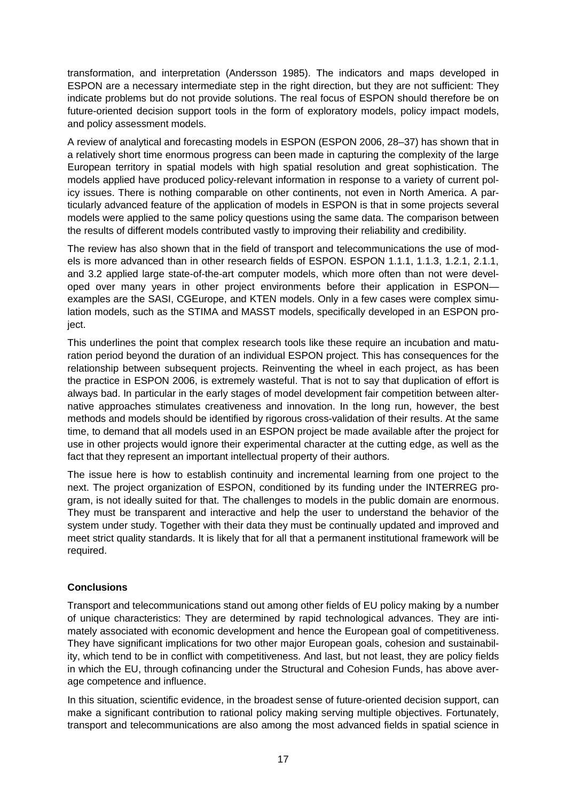transformation, and interpretation (Andersson 1985). The indicators and maps developed in ESPON are a necessary intermediate step in the right direction, but they are not sufficient: They indicate problems but do not provide solutions. The real focus of ESPON should therefore be on future-oriented decision support tools in the form of exploratory models, policy impact models, and policy assessment models.

A review of analytical and forecasting models in ESPON (ESPON 2006, 28–37) has shown that in a relatively short time enormous progress can been made in capturing the complexity of the large European territory in spatial models with high spatial resolution and great sophistication. The models applied have produced policy-relevant information in response to a variety of current policy issues. There is nothing comparable on other continents, not even in North America. A particularly advanced feature of the application of models in ESPON is that in some projects several models were applied to the same policy questions using the same data. The comparison between the results of different models contributed vastly to improving their reliability and credibility.

The review has also shown that in the field of transport and telecommunications the use of models is more advanced than in other research fields of ESPON. ESPON 1.1.1, 1.1.3, 1.2.1, 2.1.1, and 3.2 applied large state-of-the-art computer models, which more often than not were developed over many years in other project environments before their application in ESPON examples are the SASI, CGEurope, and KTEN models. Only in a few cases were complex simulation models, such as the STIMA and MASST models, specifically developed in an ESPON project.

This underlines the point that complex research tools like these require an incubation and maturation period beyond the duration of an individual ESPON project. This has consequences for the relationship between subsequent projects. Reinventing the wheel in each project, as has been the practice in ESPON 2006, is extremely wasteful. That is not to say that duplication of effort is always bad. In particular in the early stages of model development fair competition between alternative approaches stimulates creativeness and innovation. In the long run, however, the best methods and models should be identified by rigorous cross-validation of their results. At the same time, to demand that all models used in an ESPON project be made available after the project for use in other projects would ignore their experimental character at the cutting edge, as well as the fact that they represent an important intellectual property of their authors.

The issue here is how to establish continuity and incremental learning from one project to the next. The project organization of ESPON, conditioned by its funding under the INTERREG program, is not ideally suited for that. The challenges to models in the public domain are enormous. They must be transparent and interactive and help the user to understand the behavior of the system under study. Together with their data they must be continually updated and improved and meet strict quality standards. It is likely that for all that a permanent institutional framework will be required.

## **Conclusions**

Transport and telecommunications stand out among other fields of EU policy making by a number of unique characteristics: They are determined by rapid technological advances. They are intimately associated with economic development and hence the European goal of competitiveness. They have significant implications for two other major European goals, cohesion and sustainability, which tend to be in conflict with competitiveness. And last, but not least, they are policy fields in which the EU, through cofinancing under the Structural and Cohesion Funds, has above average competence and influence.

In this situation, scientific evidence, in the broadest sense of future-oriented decision support, can make a significant contribution to rational policy making serving multiple objectives. Fortunately, transport and telecommunications are also among the most advanced fields in spatial science in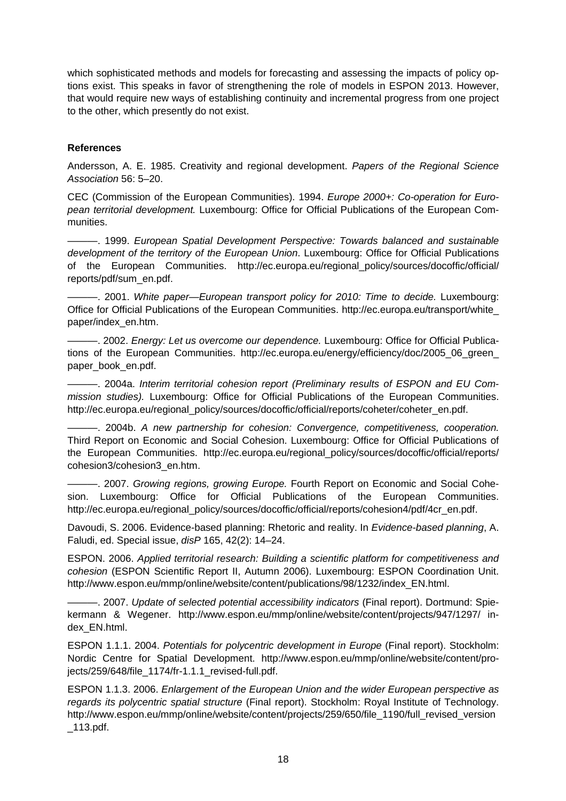which sophisticated methods and models for forecasting and assessing the impacts of policy options exist. This speaks in favor of strengthening the role of models in ESPON 2013. However, that would require new ways of establishing continuity and incremental progress from one project to the other, which presently do not exist.

#### **References**

Andersson, A. E. 1985. Creativity and regional development. Papers of the Regional Science Association 56: 5–20.

CEC (Commission of the European Communities). 1994. Europe 2000+: Co-operation for European territorial development. Luxembourg: Office for Official Publications of the European Communities.

———. 1999. European Spatial Development Perspective: Towards balanced and sustainable development of the territory of the European Union. Luxembourg: Office for Official Publications of the European Communities. http://ec.europa.eu/regional\_policy/sources/docoffic/official/ reports/pdf/sum\_en.pdf.

———. 2001. White paper—European transport policy for 2010: Time to decide. Luxembourg: Office for Official Publications of the European Communities. http://ec.europa.eu/transport/white\_ paper/index\_en.htm.

–. 2002. Energy: Let us overcome our dependence. Luxembourg: Office for Official Publications of the European Communities. http://ec.europa.eu/energy/efficiency/doc/2005\_06\_green paper\_book\_en.pdf.

———. 2004a. Interim territorial cohesion report (Preliminary results of ESPON and EU Commission studies). Luxembourg: Office for Official Publications of the European Communities. http://ec.europa.eu/regional\_policy/sources/docoffic/official/reports/coheter/coheter\_en.pdf.

———. 2004b. A new partnership for cohesion: Convergence, competitiveness, cooperation. Third Report on Economic and Social Cohesion. Luxembourg: Office for Official Publications of the European Communities. http://ec.europa.eu/regional\_policy/sources/docoffic/official/reports/ cohesion3/cohesion3\_en.htm.

- 2007. Growing regions, growing Europe. Fourth Report on Economic and Social Cohesion. Luxembourg: Office for Official Publications of the European Communities. http://ec.europa.eu/regional\_policy/sources/docoffic/official/reports/cohesion4/pdf/4cr\_en.pdf.

Davoudi, S. 2006. Evidence-based planning: Rhetoric and reality. In Evidence-based planning, A. Faludi, ed. Special issue, disP 165, 42(2): 14–24.

ESPON. 2006. Applied territorial research: Building a scientific platform for competitiveness and cohesion (ESPON Scientific Report II, Autumn 2006). Luxembourg: ESPON Coordination Unit. http://www.espon.eu/mmp/online/website/content/publications/98/1232/index\_EN.html.

———. 2007. Update of selected potential accessibility indicators (Final report). Dortmund: Spiekermann & Wegener. http://www.espon.eu/mmp/online/website/content/projects/947/1297/ index\_EN.html.

ESPON 1.1.1. 2004. Potentials for polycentric development in Europe (Final report). Stockholm: Nordic Centre for Spatial Development. http://www.espon.eu/mmp/online/website/content/projects/259/648/file\_1174/fr-1.1.1\_revised-full.pdf.

ESPON 1.1.3. 2006. Enlargement of the European Union and the wider European perspective as regards its polycentric spatial structure (Final report). Stockholm: Royal Institute of Technology. http://www.espon.eu/mmp/online/website/content/projects/259/650/file\_1190/full\_revised\_version \_113.pdf.